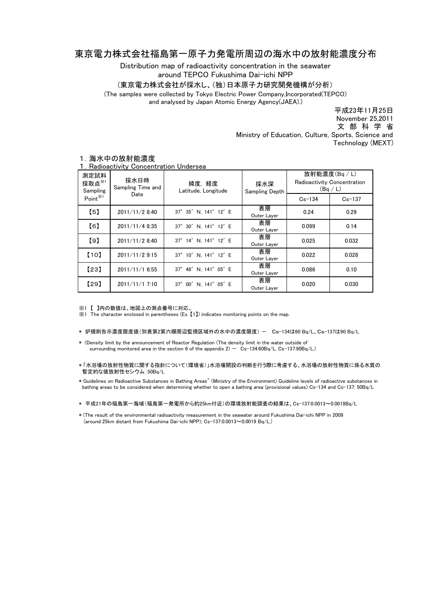## 東京電力株式会社福島第一原子力発電所周辺の海水中の放射能濃度分布

Distribution map of radioactivity concentration in the seawater around TEPCO Fukushima Dai-ichi NPP

(東京電力株式会社が採水し、(独)日本原子力研究開発機構が分析)

(The samples were collected by Tokyo Electric Power Company,Incorporated(TEPCO)

and analysed by Japan Atomic Energy Agency(JAEA).)

November 25,2011 平成23年11月25日 文 部 科 学 省 Ministry of Education, Culture, Sports, Science and Technology (MEXT)

| 測定試料<br>採取点※1<br>Sampling | 採水日時<br>Sampling Time and<br>Date | 緯度,経度<br>Latitude, Longitude | 採水深<br>Sampling Depth | 放射能濃度(Bg/L)<br>Radioactivity Concentration<br>(Bq/L) |            |
|---------------------------|-----------------------------------|------------------------------|-----------------------|------------------------------------------------------|------------|
| Point <sup>※1</sup>       |                                   |                              |                       | $Cs - 134$                                           | $Cs - 137$ |
| $\lbrack 5 \rbrack$       | 2011/11/2 8:40                    | 37° 35' N. 141° 12' E        | 表層<br>Outer Layer     | 0.24                                                 | 0.29       |
| [6]                       | 2011/11/4 8:35                    | 37° 30' N, 141° 12' E        | 表層<br>Outer Layer     | 0.099                                                | 0.14       |
| [9]                       | 2011/11/2 8:40                    | 37° 14' N. 141° 12' E        | 表層<br>Outer Layer     | 0.025                                                | 0.032      |
| [10]                      | 2011/11/2 9:15                    | 37° 10' N, 141° 12' E        | 表層<br>Outer Layer     | 0.022                                                | 0.028      |
| [23]                      | 2011/11/1 6:55                    | 37° 48' N. 141° 05' E        | 表層<br>Outer Layer     | 0.086                                                | 0.10       |
| [29]                      | 2011/11/1 7:10                    | 37° 00' N. 141° 05' E        | 表層<br>Outer Layer     | 0.020                                                | 0.030      |

## 1.海水中の放射能濃度

1.Radioactivity Concentration Undersea

※1 【 】内の数値は、地図上の測点番号に対応。

※1 The character enclosed in parentheses (Ex. 【1】) indicates monitoring points on the map.

- \* 炉規則告示濃度限度値(別表第2第六欄周辺監視区域外の水中の濃度限度) Cs-134は60 Bq/L、Cs-137は90 Bq/L
- \* (Density limit by the announcement of Reactor Regulation (The density limit in the water outside of surrounding monitored area in the section 6 of the appendix  $2) - Cs - 134:60Bq/L$ , Cs-137:90Bq/L.)
- \* 「水浴場の放射性物質に関する指針について(環境省)」水浴場開設の判断を行う際に考慮する、水浴場の放射性物質に係る水質の 暫定的な値放射性セシウム:50Bq/L

\* Guidelines on Radioactive Substances in Bathing Areas" (Ministry of the Environment) Guideline levels of radioactive substances in bathing areas to be considered when determining whether to open a bathing area (provisional values) Cs-134 and Cs-137: 50Bq/L

\* 平成21年の福島第一海域(福島第一発電所から約25km付近)の環境放射能調査の結果は、Cs-137:0.0013~0.0019Bq/L

\* (The result of the environmental radioactivity measurement in the seawater around Fukushima Dai-ichi NPP in 2009 (around 25km distant from Fukushima Dai-ichi NPP); Cs-137:0.0013~0.0019 Bq/L.)